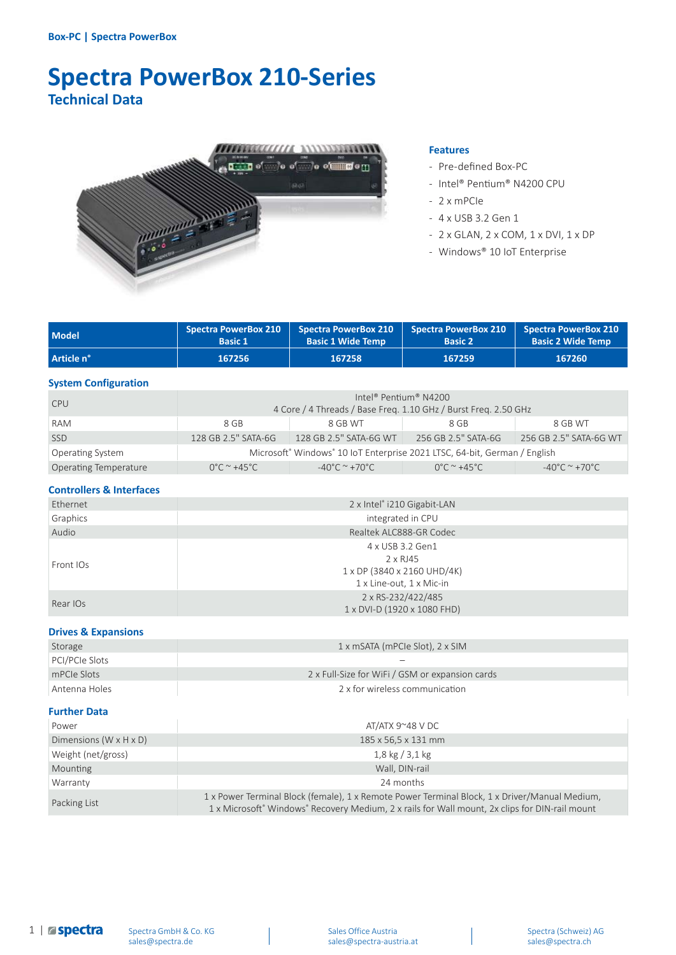# **Spectra PowerBox 210-Series Technical Data**



#### **Features**

- Pre-defined Box-PC
- Intel® Pentium® N4200 CPU
- 2 x mPCIe
- 4 x USB 3.2 Gen 1
- 2 x GLAN, 2 x COM, 1 x DVI, 1 x DP
- Windows® 10 IoT Enterprise

| <b>Model</b> | Basic 1 | Spectra PowerBox 210   Spectra PowerBox 210   Spectra PowerBox 210   Spectra PowerBox 210<br><b>Basic 1 Wide Temp</b> | <b>Basic 2</b> | <b>Basic 2 Wide Temp</b> |
|--------------|---------|-----------------------------------------------------------------------------------------------------------------------|----------------|--------------------------|
| Article n°   | 167256  | 167258                                                                                                                | 167259         | 167260                   |

#### **System Configuration**

| <b>CPU</b>                   | Intel <sup>®</sup> Pentium <sup>®</sup> N4200<br>4 Core / 4 Threads / Base Freq. 1.10 GHz / Burst Freq. 2.50 GHz |                                 |                                          |                                    |
|------------------------------|------------------------------------------------------------------------------------------------------------------|---------------------------------|------------------------------------------|------------------------------------|
| RAM                          | 8 GB                                                                                                             | 8 GB WT                         | 8 GB                                     | 8 GB WT                            |
| <b>SSD</b>                   | 128 GB 2.5" SATA-6G                                                                                              | 128 GB 2.5" SATA-6G WT          | 256 GB 2.5" SATA-6G                      | 256 GB 2.5" SATA-6G WT             |
| Operating System             | Microsoft® Windows® 10 IoT Enterprise 2021 LTSC, 64-bit, German / English                                        |                                 |                                          |                                    |
| <b>Operating Temperature</b> | $0^{\circ}$ C ~ +45 $^{\circ}$ C                                                                                 | $-40^{\circ}$ C $^{\sim}$ +70°C | $0^{\circ}$ C $^{\sim}$ +45 $^{\circ}$ C | $-40^{\circ}$ C ~ +70 $^{\circ}$ C |

### **Controllers & Interfaces**

| Ethernet  | 2 x Intel® i210 Gigabit-LAN                                                             |  |  |
|-----------|-----------------------------------------------------------------------------------------|--|--|
| Graphics  | integrated in CPU                                                                       |  |  |
| Audio     | Realtek ALC888-GR Codec                                                                 |  |  |
| Front IOs | 4 x USB 3.2 Gen1<br>2 x RJ45<br>1 x DP (3840 x 2160 UHD/4K)<br>1 x Line-out, 1 x Mic-in |  |  |
| Rear IOs  | 2 x RS-232/422/485<br>1 x DVI-D (1920 x 1080 FHD)                                       |  |  |

#### **Drives & Expansions**

| Storage        | 1 x mSATA (mPCIe Slot), 2 x SIM                 |
|----------------|-------------------------------------------------|
| PCI/PCIe Slots |                                                 |
| mPCIe Slots    | 2 x Full-Size for WiFi / GSM or expansion cards |
| Antenna Holes  | 2 x for wireless communication                  |

#### **Further Data**

| Power                                | AT/ATX 9~48 VDC                                                                                                                                                                                 |  |  |
|--------------------------------------|-------------------------------------------------------------------------------------------------------------------------------------------------------------------------------------------------|--|--|
| Dimensions (W $\times$ H $\times$ D) | 185 x 56,5 x 131 mm                                                                                                                                                                             |  |  |
| Weight (net/gross)                   | $1,8$ kg $/3,1$ kg                                                                                                                                                                              |  |  |
| Mounting                             | Wall, DIN-rail                                                                                                                                                                                  |  |  |
| Warranty                             | 24 months                                                                                                                                                                                       |  |  |
| Packing List                         | 1 x Power Terminal Block (female), 1 x Remote Power Terminal Block, 1 x Driver/Manual Medium,<br>1 x Microsoft® Windows® Recovery Medium, 2 x rails for Wall mount, 2x clips for DIN-rail mount |  |  |